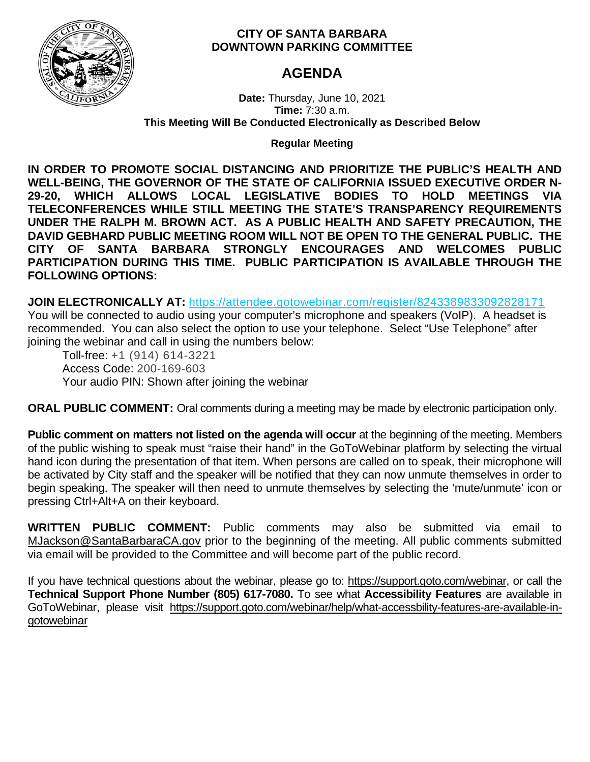

## **CITY OF SANTA BARBARA DOWNTOWN PARKING COMMITTEE**

# **AGENDA**

**Date:** Thursday, June 10, 2021 **Time:** 7:30 a.m. **This Meeting Will Be Conducted Electronically as Described Below**

## **Regular Meeting**

**IN ORDER TO PROMOTE SOCIAL DISTANCING AND PRIORITIZE THE PUBLIC'S HEALTH AND WELL-BEING, THE GOVERNOR OF THE STATE OF CALIFORNIA ISSUED EXECUTIVE ORDER N-29-20, WHICH ALLOWS LOCAL LEGISLATIVE BODIES TO HOLD MEETINGS VIA TELECONFERENCES WHILE STILL MEETING THE STATE'S TRANSPARENCY REQUIREMENTS UNDER THE RALPH M. BROWN ACT. AS A PUBLIC HEALTH AND SAFETY PRECAUTION, THE DAVID GEBHARD PUBLIC MEETING ROOM WILL NOT BE OPEN TO THE GENERAL PUBLIC. THE CITY OF SANTA BARBARA STRONGLY ENCOURAGES AND WELCOMES PUBLIC PARTICIPATION DURING THIS TIME. PUBLIC PARTICIPATION IS AVAILABLE THROUGH THE FOLLOWING OPTIONS:**

**JOIN ELECTRONICALLY AT:** <https://attendee.gotowebinar.com/register/8243389833092828171>

You will be connected to audio using your computer's microphone and speakers (VoIP). A headset is recommended. You can also select the option to use your telephone. Select "Use Telephone" after joining the webinar and call in using the numbers below:

Toll-free: +1 (914) 614-3221 Access Code: 200-169-603 Your audio PIN: Shown after joining the webinar

**ORAL PUBLIC COMMENT:** Oral comments during a meeting may be made by electronic participation only.

**Public comment on matters not listed on the agenda will occur** at the beginning of the meeting. Members of the public wishing to speak must "raise their hand" in the GoToWebinar platform by selecting the virtual hand icon during the presentation of that item. When persons are called on to speak, their microphone will be activated by City staff and the speaker will be notified that they can now unmute themselves in order to begin speaking. The speaker will then need to unmute themselves by selecting the 'mute/unmute' icon or pressing Ctrl+Alt+A on their keyboard.

**WRITTEN PUBLIC COMMENT:** Public comments may also be submitted via email to [MJackson@SantaBarbaraCA.gov](mailto:MJackson@SantaBarbaraCA.gov) prior to the beginning of the meeting. All public comments submitted via email will be provided to the Committee and will become part of the public record.

If you have technical questions about the webinar, please go to: [https://support.goto.com/webinar,](https://support.goto.com/webinar) or call the **Technical Support Phone Number (805) 617-7080.** To see what **Accessibility Features** are available in GoToWebinar, please visit [https://support.goto.com/webinar/help/what-accessbility-features-are-available-in](https://support.goto.com/webinar/help/what-accessbility-features-are-available-in-gotowebinar)[gotowebinar](https://support.goto.com/webinar/help/what-accessbility-features-are-available-in-gotowebinar)